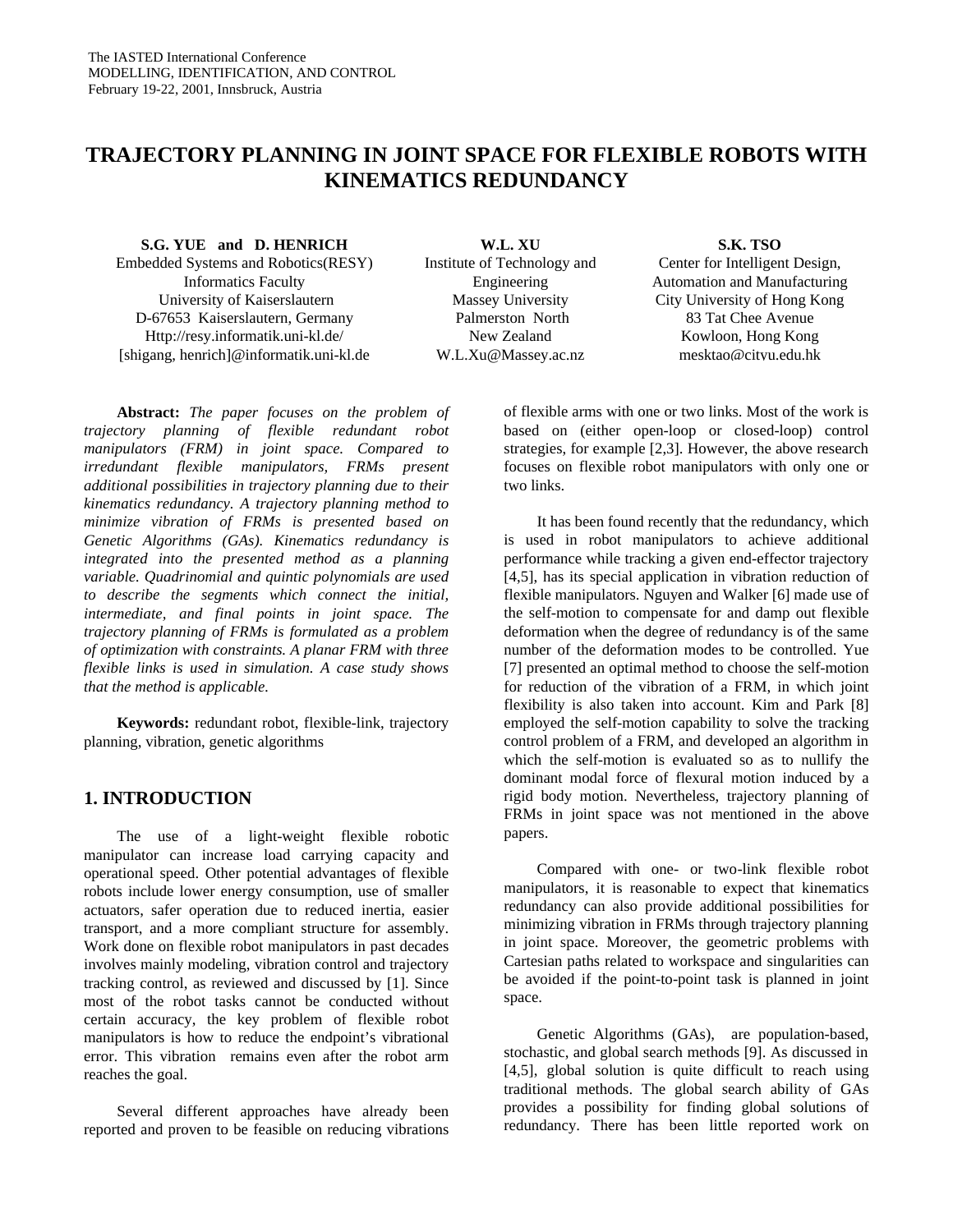# **TRAJECTORY PLANNING IN JOINT SPACE FOR FLEXIBLE ROBOTS WITH KINEMATICS REDUNDANCY**

**S.G. YUE and D. HENRICH** Embedded Systems and Robotics(RESY) Informatics Faculty University of Kaiserslautern D-67653 Kaiserslautern, Germany Http://resy.informatik.uni-kl.de/ [shigang, henrich]@informatik.uni-kl.de

**Abstract:** *The paper focuses on the problem of trajectory planning of flexible redundant robot manipulators (FRM) in joint space. Compared to irredundant flexible manipulators, FRMs present additional possibilities in trajectory planning due to their kinematics redundancy. A trajectory planning method to minimize vibration of FRMs is presented based on Genetic Algorithms (GAs). Kinematics redundancy is integrated into the presented method as a planning variable. Quadrinomial and quintic polynomials are used to describe the segments which connect the initial, intermediate, and final points in joint space. The trajectory planning of FRMs is formulated as a problem of optimization with constraints. A planar FRM with three flexible links is used in simulation. A case study shows that the method is applicable.* 

**Keywords:** redundant robot, flexible-link, trajectory planning, vibration, genetic algorithms

### **1. INTRODUCTION**

The use of a light-weight flexible robotic manipulator can increase load carrying capacity and operational speed. Other potential advantages of flexible robots include lower energy consumption, use of smaller actuators, safer operation due to reduced inertia, easier transport, and a more compliant structure for assembly. Work done on flexible robot manipulators in past decades involves mainly modeling, vibration control and trajectory tracking control, as reviewed and discussed by [1]. Since most of the robot tasks cannot be conducted without certain accuracy, the key problem of flexible robot manipulators is how to reduce the endpoint's vibrational error. This vibration remains even after the robot arm reaches the goal.

Several different approaches have already been reported and proven to be feasible on reducing vibrations

**W.L. XU** Institute of Technology and Engineering Massey University Palmerston North New Zealand W.L.Xu@Massey.ac.nz

#### **S.K. TSO**

Center for Intelligent Design, Automation and Manufacturing City University of Hong Kong 83 Tat Chee Avenue Kowloon, Hong Kong mesktao@cityu.edu.hk

of flexible arms with one or two links. Most of the work is based on (either open-loop or closed-loop) control strategies, for example [2,3]. However, the above research focuses on flexible robot manipulators with only one or two links.

It has been found recently that the redundancy, which is used in robot manipulators to achieve additional performance while tracking a given end-effector trajectory [4,5], has its special application in vibration reduction of flexible manipulators. Nguyen and Walker [6] made use of the self-motion to compensate for and damp out flexible deformation when the degree of redundancy is of the same number of the deformation modes to be controlled. Yue [7] presented an optimal method to choose the self-motion for reduction of the vibration of a FRM, in which joint flexibility is also taken into account. Kim and Park [8] employed the self-motion capability to solve the tracking control problem of a FRM, and developed an algorithm in which the self-motion is evaluated so as to nullify the dominant modal force of flexural motion induced by a rigid body motion. Nevertheless, trajectory planning of FRMs in joint space was not mentioned in the above papers.

Compared with one- or two-link flexible robot manipulators, it is reasonable to expect that kinematics redundancy can also provide additional possibilities for minimizing vibration in FRMs through trajectory planning in joint space. Moreover, the geometric problems with Cartesian paths related to workspace and singularities can be avoided if the point-to-point task is planned in joint space.

Genetic Algorithms (GAs), are population-based, stochastic, and global search methods [9]. As discussed in [4,5], global solution is quite difficult to reach using traditional methods. The global search ability of GAs provides a possibility for finding global solutions of redundancy. There has been little reported work on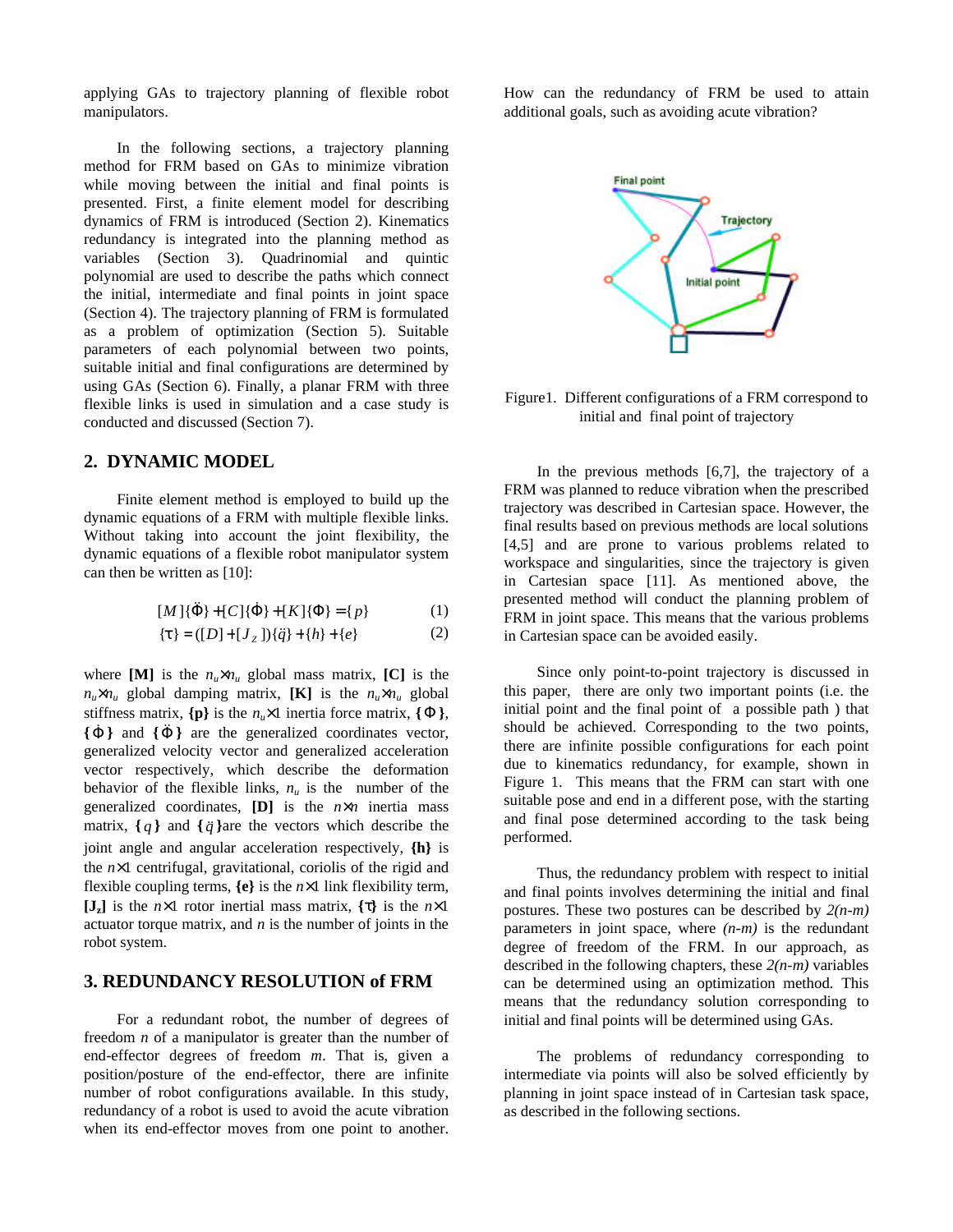applying GAs to trajectory planning of flexible robot manipulators.

In the following sections, a trajectory planning method for FRM based on GAs to minimize vibration while moving between the initial and final points is presented. First, a finite element model for describing dynamics of FRM is introduced (Section 2). Kinematics redundancy is integrated into the planning method as variables (Section 3). Quadrinomial and quintic polynomial are used to describe the paths which connect the initial, intermediate and final points in joint space (Section 4). The trajectory planning of FRM is formulated as a problem of optimization (Section 5). Suitable parameters of each polynomial between two points, suitable initial and final configurations are determined by using GAs (Section 6). Finally, a planar FRM with three flexible links is used in simulation and a case study is conducted and discussed (Section 7).

## **2. DYNAMIC MODEL**

Finite element method is employed to build up the dynamic equations of a FRM with multiple flexible links. Without taking into account the joint flexibility, the dynamic equations of a flexible robot manipulator system can then be written as [10]:

$$
[M]\{\ddot{\Phi}\} + [C]\{\dot{\Phi}\} + [K]\{\Phi\} = \{p\}
$$
 (1)

$$
\{\mathbf{t}\} = ([D] + [J_z])\{\ddot{q}\} + \{h\} + \{e\} \tag{2}
$$

where [M] is the  $n_u \times n_u$  global mass matrix, [C] is the  $n_u \times n_u$  global damping matrix, **[K]** is the  $n_u \times n_u$  global stiffness matrix,  $\{p\}$  is the *n<sub>u</sub>*×1 inertia force matrix,  $\{\Phi\}$ ,  $\{\dot{\Phi}\}\$  and  $\{\ddot{\Phi}\}\$  are the generalized coordinates vector, generalized velocity vector and generalized acceleration vector respectively, which describe the deformation behavior of the flexible links,  $n<sub>u</sub>$  is the number of the generalized coordinates, **[D]** is the *n*×*n* inertia mass matrix,  $\{q\}$  and  $\{\ddot{q}\}$ are the vectors which describe the joint angle and angular acceleration respectively, **{h}** is the *n*×1 centrifugal, gravitational, coriolis of the rigid and flexible coupling terms,  $\{e\}$  is the  $n \times 1$  link flexibility term, **[Jz]** is the *n*×1 rotor inertial mass matrix, **{t}** is the *n*×1 actuator torque matrix, and *n* is the number of joints in the robot system.

#### **3. REDUNDANCY RESOLUTION of FRM**

For a redundant robot, the number of degrees of freedom *n* of a manipulator is greater than the number of end-effector degrees of freedom *m*. That is, given a position/posture of the end-effector, there are infinite number of robot configurations available. In this study, redundancy of a robot is used to avoid the acute vibration when its end-effector moves from one point to another. How can the redundancy of FRM be used to attain additional goals, such as avoiding acute vibration?



Figure1. Different configurations of a FRM correspond to initial and final point of trajectory

In the previous methods [6,7], the trajectory of a FRM was planned to reduce vibration when the prescribed trajectory was described in Cartesian space. However, the final results based on previous methods are local solutions [4,5] and are prone to various problems related to workspace and singularities, since the trajectory is given in Cartesian space [11]. As mentioned above, the presented method will conduct the planning problem of FRM in joint space. This means that the various problems in Cartesian space can be avoided easily.

Since only point-to-point trajectory is discussed in this paper, there are only two important points (i.e. the initial point and the final point of a possible path ) that should be achieved. Corresponding to the two points, there are infinite possible configurations for each point due to kinematics redundancy, for example, shown in Figure 1. This means that the FRM can start with one suitable pose and end in a different pose, with the starting and final pose determined according to the task being performed.

Thus, the redundancy problem with respect to initial and final points involves determining the initial and final postures. These two postures can be described by *2(n-m)* parameters in joint space, where *(n-m)* is the redundant degree of freedom of the FRM. In our approach, as described in the following chapters, these *2(n-m)* variables can be determined using an optimization method. This means that the redundancy solution corresponding to initial and final points will be determined using GAs.

The problems of redundancy corresponding to intermediate via points will also be solved efficiently by planning in joint space instead of in Cartesian task space, as described in the following sections.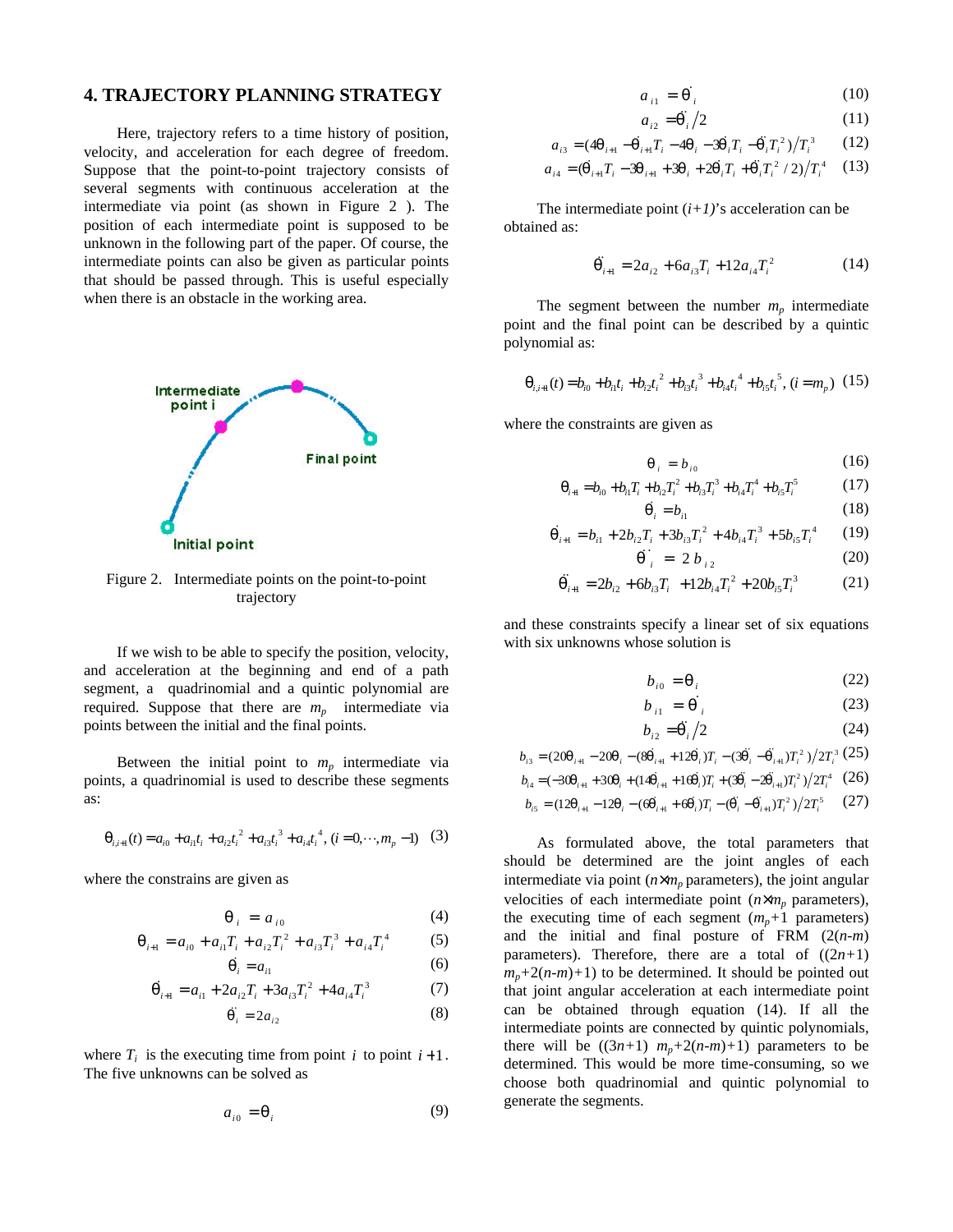#### **4. TRAJECTORY PLANNING STRATEGY**

Here, trajectory refers to a time history of position, velocity, and acceleration for each degree of freedom. Suppose that the point-to-point trajectory consists of several segments with continuous acceleration at the intermediate via point (as shown in Figure 2 ). The position of each intermediate point is supposed to be unknown in the following part of the paper. Of course, the intermediate points can also be given as particular points that should be passed through. This is useful especially when there is an obstacle in the working area.



Figure 2. Intermediate points on the point-to-point trajectory

If we wish to be able to specify the position, velocity, and acceleration at the beginning and end of a path segment, a quadrinomial and a quintic polynomial are required. Suppose that there are  $m_p$  intermediate via points between the initial and the final points.

Between the initial point to  $m_p$  intermediate via points, a quadrinomial is used to describe these segments as:

$$
\boldsymbol{q}_{i,i+1}(t) = a_{i0} + a_{i1}t_i + a_{i2}t_i^2 + a_{i3}t_i^3 + a_{i4}t_i^4, \ (i = 0, \cdots, m_p - 1) \quad (3)
$$

where the constrains are given as

$$
\boldsymbol{q}_i = a_{i0} \tag{4}
$$

$$
\boldsymbol{q}_{i+1} = a_{i0} + a_{i1}T_i + a_{i2}T_i^2 + a_{i3}T_i^3 + a_{i4}T_i^4 \tag{5}
$$

$$
\dot{\boldsymbol{q}_i} = a_{i1} \tag{6}
$$

$$
\dot{\boldsymbol{q}}_{i+1} = a_{i1} + 2a_{i2}T_i + 3a_{i3}T_i^2 + 4a_{i4}T_i^3 \tag{7}
$$

$$
\ddot{\boldsymbol{q}}_i = 2a_{i2} \tag{8}
$$

where  $T_i$  is the executing time from point *i* to point  $i+1$ . The five unknowns can be solved as

$$
a_{i0} = \mathbf{q}_i \tag{9}
$$

$$
a_{i1} = \dot{\boldsymbol{q}}_i \tag{10}
$$

$$
a_{i2} = \ddot{\mathbf{q}}_i / 2 \tag{11}
$$

$$
a_{i3} = (4\mathbf{q}_{i+1} - \dot{\mathbf{q}}_{i+1}T_i - 4\mathbf{q}_i - 3\dot{\mathbf{q}}_iT_i - \ddot{\mathbf{q}}_iT_i^2)/T_i^3 \qquad (12)
$$

$$
a_{i4} = (\dot{\mathbf{q}}_{i+1}T_i - 3\mathbf{q}_{i+1} + 3\mathbf{q}_i + 2\dot{\mathbf{q}}_iT_i + \ddot{\mathbf{q}}_iT_i^2 / 2)/T_i^4
$$
 (13)

The intermediate point  $(i+1)$ 's acceleration can be obtained as:

$$
\ddot{\mathbf{q}}_{i+1} = 2a_{i2} + 6a_{i3}T_i + 12a_{i4}T_i^2 \tag{14}
$$

The segment between the number  $m_p$  intermediate point and the final point can be described by a quintic polynomial as:

$$
\mathbf{q}_{i,i+1}(t) = b_{i0} + b_{i1}t_i + b_{i2}t_i^2 + b_{i3}t_i^3 + b_{i4}t_i^4 + b_{i5}t_i^5, (i = m_p) (15)
$$

where the constraints are given as

$$
\boldsymbol{q}_i = b_{i0} \tag{16}
$$

$$
\mathbf{q}_{i+1} = b_{i0} + b_{i1}T_i + b_{i2}T_i^2 + b_{i3}T_i^3 + b_{i4}T_i^4 + b_{i5}T_i^5 \tag{17}
$$

$$
\dot{\boldsymbol{q}}_i = b_{i1} \tag{18}
$$

$$
\dot{\boldsymbol{q}}_{i+1} = b_{i1} + 2b_{i2}T_i + 3b_{i3}T_i^2 + 4b_{i4}T_i^3 + 5b_{i5}T_i^4 \qquad (19)
$$

$$
\ddot{q}_{i} = 2b_{i2} \tag{20}
$$

$$
\ddot{\boldsymbol{q}}_{i+1} = 2b_{i2} + 6b_{i3}T_i + 12b_{i4}T_i^2 + 20b_{i5}T_i^3 \tag{21}
$$

and these constraints specify a linear set of six equations with six unknowns whose solution is

$$
b_{i0} = \mathbf{q}_i \tag{22}
$$

$$
b_{i1} = \dot{\boldsymbol{q}}_i \tag{23}
$$

$$
b_{i2} = \ddot{\mathbf{q}}_i / 2 \tag{24}
$$

$$
b_{i3} = (20\mathbf{q}_{i+1} - 20\mathbf{q}_{i} - (8\mathbf{q}_{i+1} + 12\mathbf{q}_{i})T_{i} - (3\mathbf{q}_{i} - \mathbf{q}_{i+1})T_{i}^{2})/2T_{i}^{3}(25)
$$

$$
b_{i4} = (-30\mathbf{q}_{i+1} + 30\mathbf{q}_{i} + (14\mathbf{q}_{i+1} + 16\mathbf{q}_{i})T_{i} + (3\mathbf{q}_{i} - 2\mathbf{q}_{i+1})T_{i}^{2})/2T_{i}^{4} (26)
$$

$$
b_{i5} = (12\mathbf{q}_{i+1} - 12\mathbf{q}_{i} - (6\mathbf{q}_{i+1} + 6\mathbf{q}_{i})T_{i} - (\mathbf{q}_{i} - \mathbf{q}_{i+1})T_{i}^{2})/2T_{i}^{5} \qquad (27)
$$

As formulated above, the total parameters that should be determined are the joint angles of each intermediate via point  $(n \times m_p)$  parameters), the joint angular velocities of each intermediate point  $(n \times m_p)$  parameters), the executing time of each segment  $(m_p+1)$  parameters) and the initial and final posture of FRM (2(*n-m*) parameters). Therefore, there are a total of  $((2n+1)$  $m_p + 2(n-m) + 1$ ) to be determined. It should be pointed out that joint angular acceleration at each intermediate point can be obtained through equation (14). If all the intermediate points are connected by quintic polynomials, there will be  $((3n+1)$   $m<sub>n</sub>+2(n-m)+1)$  parameters to be determined. This would be more time-consuming, so we choose both quadrinomial and quintic polynomial to generate the segments.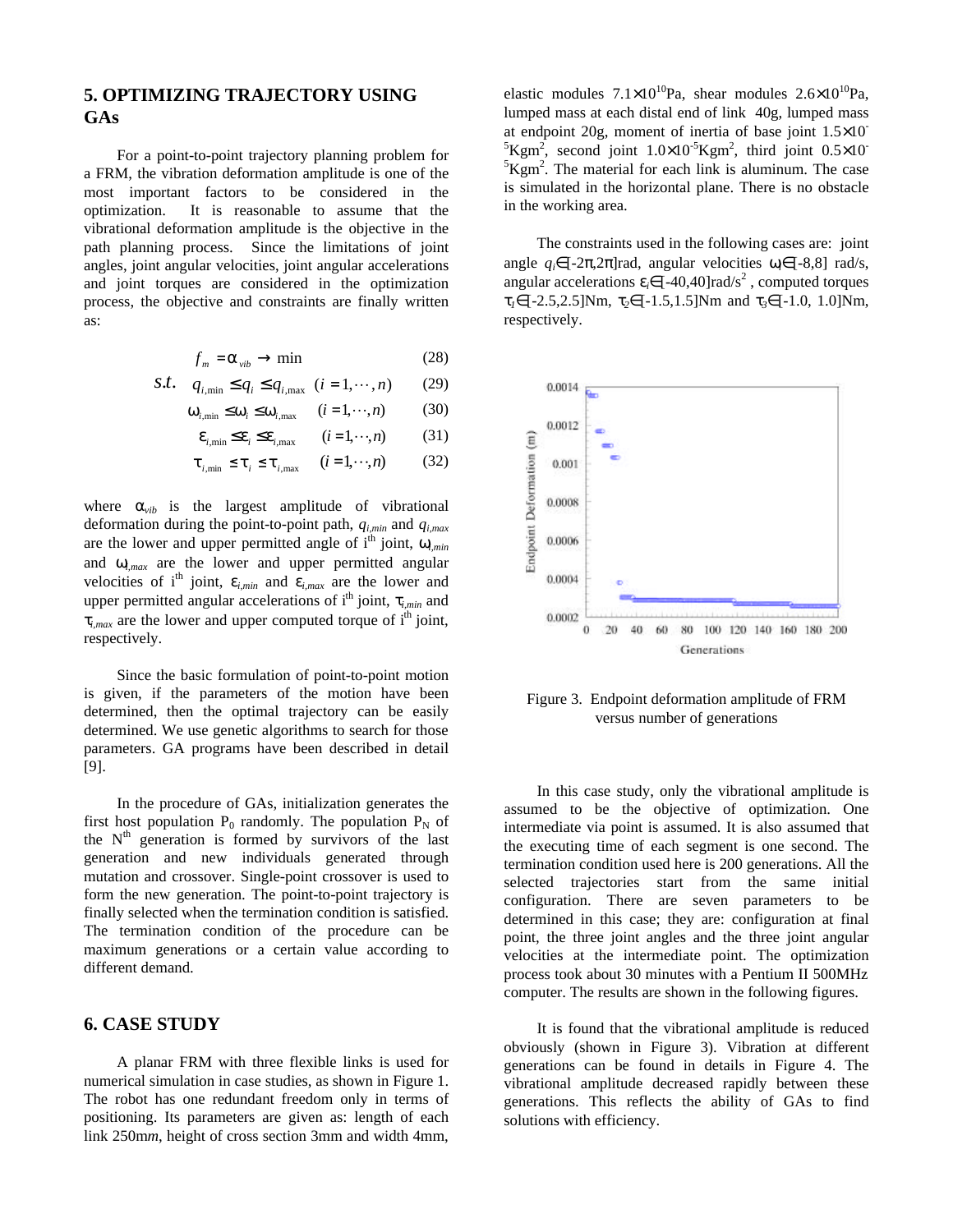# **5. OPTIMIZING TRAJECTORY USING GAs**

For a point-to-point trajectory planning problem for a FRM, the vibration deformation amplitude is one of the most important factors to be considered in the optimization. It is reasonable to assume that the vibrational deformation amplitude is the objective in the path planning process. Since the limitations of joint angles, joint angular velocities, joint angular accelerations and joint torques are considered in the optimization process, the objective and constraints are finally written as:

$$
f_m = \mathbf{a}_{vib} \to \min \tag{28}
$$

$$
S.t. \tq_{i, \min} \le q_i \le q_{i, \max} \t(i = 1, \cdots, n) \t(29)
$$

$$
\mathbf{W}_{i,\min} \le \mathbf{W}_i \le \mathbf{W}_{i,\max} \qquad (i = 1, \cdots, n) \tag{30}
$$

$$
\mathbf{e}_{i,\min} \le \mathbf{e}_i \le \mathbf{e}_{i,\max} \qquad (i = 1, \cdots, n) \tag{31}
$$

$$
\boldsymbol{t}_{i,\min} \leq \boldsymbol{t}_i \leq \boldsymbol{t}_{i,\max} \qquad (i=1,\cdots,n) \tag{32}
$$

where  $a_{vib}$  is the largest amplitude of vibrational deformation during the point-to-point path, *qi,min* and *qi,max* are the lower and upper permitted angle of  $i<sup>th</sup>$  joint,  $W_{i,min}$ and *wi,max* are the lower and upper permitted angular velocities of i<sup>th</sup> joint,  $e_{i,min}$  and  $e_{i,max}$  are the lower and upper permitted angular accelerations of  $i<sup>th</sup>$  joint,  $t_{i,min}$  and  $t_{i,max}$  are the lower and upper computed torque of  $i<sup>th</sup>$  joint, respectively.

Since the basic formulation of point-to-point motion is given, if the parameters of the motion have been determined, then the optimal trajectory can be easily determined. We use genetic algorithms to search for those parameters. GA programs have been described in detail [9].

In the procedure of GAs, initialization generates the first host population  $P_0$  randomly. The population  $P_N$  of the N<sup>th</sup> generation is formed by survivors of the last generation and new individuals generated through mutation and crossover. Single-point crossover is used to form the new generation. The point-to-point trajectory is finally selected when the termination condition is satisfied. The termination condition of the procedure can be maximum generations or a certain value according to different demand.

### **6. CASE STUDY**

A planar FRM with three flexible links is used for numerical simulation in case studies, as shown in Figure 1. The robot has one redundant freedom only in terms of positioning. Its parameters are given as: length of each link 250m*m*, height of cross section 3mm and width 4mm,

elastic modules  $7.1 \times 10^{10}$ Pa, shear modules  $2.6 \times 10^{10}$ Pa, lumped mass at each distal end of link 40g, lumped mass at endpoint 20g, moment of inertia of base joint 1.5×10-  ${}^{5}$ Kgm<sup>2</sup>, second joint  $1.0\times10^{-5}$ Kgm<sup>2</sup>, third joint  $0.5\times10^{-5}$  ${}^{5}$ Kgm<sup>2</sup>. The material for each link is aluminum. The case is simulated in the horizontal plane. There is no obstacle in the working area.

The constraints used in the following cases are: joint angle  $q_i \in [-2\pi, 2\pi]$  rad, angular velocities  $w_i \in [-8, 8]$  rad/s, angular accelerations  $e_i \in [-40, 40]$  rad/s<sup>2</sup>, computed torques *t1*∈[-2.5,2.5]Nm, *t2*∈[-1.5,1.5]Nm and *t3*∈[-1.0, 1.0]Nm, respectively.



Figure 3. Endpoint deformation amplitude of FRM versus number of generations

In this case study, only the vibrational amplitude is assumed to be the objective of optimization. One intermediate via point is assumed. It is also assumed that the executing time of each segment is one second. The termination condition used here is 200 generations. All the selected trajectories start from the same initial configuration. There are seven parameters to be determined in this case; they are: configuration at final point, the three joint angles and the three joint angular velocities at the intermediate point. The optimization process took about 30 minutes with a Pentium II 500MHz computer. The results are shown in the following figures.

It is found that the vibrational amplitude is reduced obviously (shown in Figure 3). Vibration at different generations can be found in details in Figure 4. The vibrational amplitude decreased rapidly between these generations. This reflects the ability of GAs to find solutions with efficiency.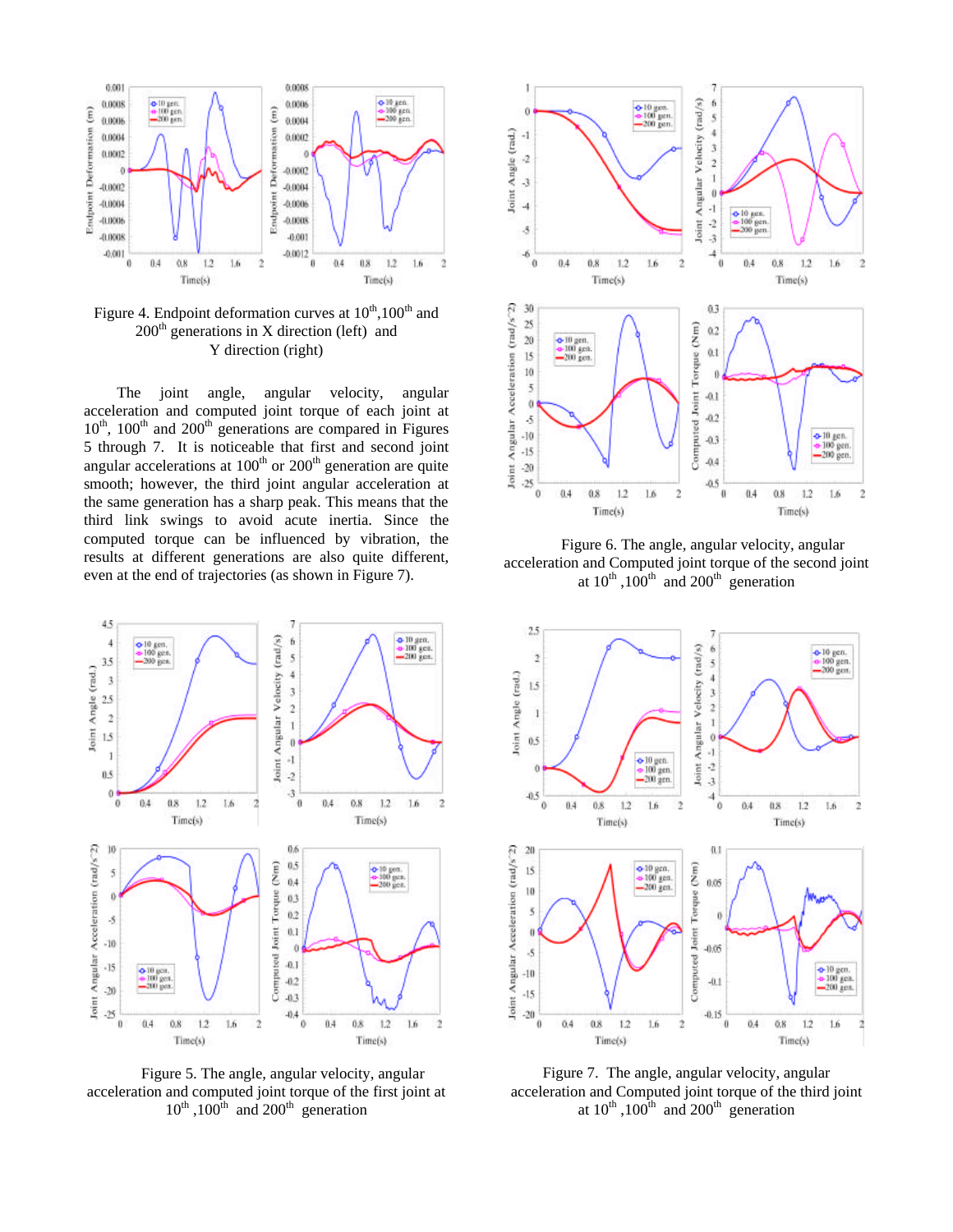

Figure 4. Endpoint deformation curves at  $10^{th}$ ,  $100^{th}$  and  $200<sup>th</sup>$  generations in X direction (left) and Y direction (right)

The joint angle, angular velocity, angular acceleration and computed joint torque of each joint at  $10<sup>th</sup>$ ,  $100<sup>th</sup>$  and  $200<sup>th</sup>$  generations are compared in Figures 5 through 7. It is noticeable that first and second joint angular accelerations at  $100<sup>th</sup>$  or  $200<sup>th</sup>$  generation are quite smooth; however, the third joint angular acceleration at the same generation has a sharp peak. This means that the third link swings to avoid acute inertia. Since the computed torque can be influenced by vibration, the results at different generations are also quite different, even at the end of trajectories (as shown in Figure 7).



Figure 5. The angle, angular velocity, angular acceleration and computed joint torque of the first joint at  $10^{th}$ ,  $100^{th}$  and  $200^{th}$  generation



Figure 6. The angle, angular velocity, angular acceleration and Computed joint torque of the second joint at  $10^{th}$ ,  $100^{th}$  and  $200^{th}$  generation



Figure 7. The angle, angular velocity, angular acceleration and Computed joint torque of the third joint at  $10^{th}$ ,  $100^{th}$  and  $200^{th}$  generation